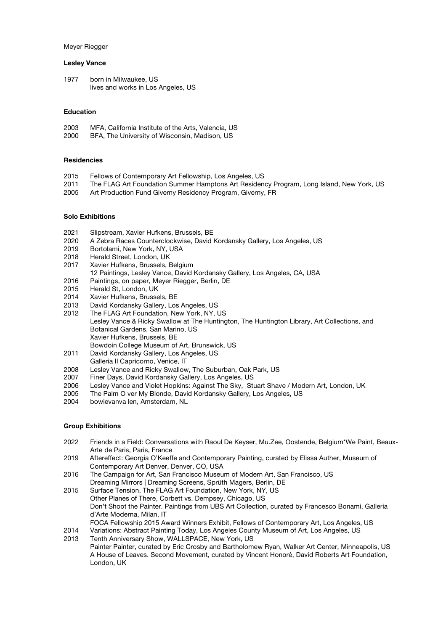### Meyer Riegger

#### **Lesley Vance**

1977 born in Milwaukee, US lives and works in Los Angeles, US

## **Education**

| 2003 | MFA, California Institute of the Arts, Valencia, US |
|------|-----------------------------------------------------|
| 2000 | BFA, The University of Wisconsin, Madison, US       |

## **Residencies**

- 2015 Fellows of Contemporary Art Fellowship, Los Angeles, US
- 2011 The FLAG Art Foundation Summer Hamptons Art Residency Program, Long Island, New York, US
- 2005 Art Production Fund Giverny Residency Program, Giverny, FR

# **Solo Exhibitions**

- 2021 Slipstream, Xavier Hufkens, Brussels, BE
- 2020 A Zebra Races Counterclockwise, David Kordansky Gallery, Los Angeles, US
- 2019 Bortolami, New York, NY, USA
- 2018 Herald Street, London, UK
- 2017 Xavier Hufkens, Brussels, Belgium
- 12 Paintings, Lesley Vance, David Kordansky Gallery, Los Angeles, CA, USA
- 2016 Paintings, on paper, Meyer Riegger, Berlin, DE
- 2015 Herald St, London, UK
- 2014 Xavier Hufkens, Brussels, BE
- 2013 David Kordansky Gallery, Los Angeles, US
- 2012 The FLAG Art Foundation, New York, NY, US Lesley Vance & Ricky Swallow at The Huntington, The Huntington Library, Art Collections, and Botanical Gardens, San Marino, US Xavier Hufkens, Brussels, BE Bowdoin College Museum of Art, Brunswick, US
- 2011 David Kordansky Gallery, Los Angeles, US
- Galleria Il Capricorno, Venice, IT
- 2008 Lesley Vance and Ricky Swallow, The Suburban, Oak Park, US
- 2007 Finer Days, David Kordansky Gallery, Los Angeles, US
- 2006 Lesley Vance and Violet Hopkins: Against The Sky, Stuart Shave / Modern Art, London, UK
- 2005 The Palm O ver My Blonde, David Kordansky Gallery, Los Angeles, US
- 2004 bowievanva len, Amsterdam, NL

## **Group Exhibitions**

- 2022 Friends in a Field: Conversations with Raoul De Keyser, Mu.Zee, Oostende, Belgium\*We Paint, Beaux-Arte de Paris, Paris, France
- 2019 Aftereffect: Georgia O'Keeffe and Contemporary Painting, curated by Elissa Auther, Museum of Contemporary Art Denver, Denver, CO, USA
- 2016 The Campaign for Art, San Francisco Museum of Modern Art, San Francisco, US Dreaming Mirrors | Dreaming Screens, Sprüth Magers, Berlin, DE
- 2015 Surface Tension, The FLAG Art Foundation, New York, NY, US Other Planes of There, Corbett vs. Dempsey, Chicago, US Don't Shoot the Painter. Paintings from UBS Art Collection, curated by Francesco Bonami, Galleria d'Arte Moderna, Milan, IT FOCA Fellowship 2015 Award Winners Exhibit, Fellows of Contemporary Art, Los Angeles, US
- 2014 Variations: Abstract Painting Today, Los Angeles County Museum of Art, Los Angeles, US
- 2013 Tenth Anniversary Show, WALLSPACE, New York, US Painter Painter, curated by Eric Crosby and Bartholomew Ryan, Walker Art Center, Minneapolis, US A House of Leaves. Second Movement, curated by Vincent Honoré, David Roberts Art Foundation, London, UK